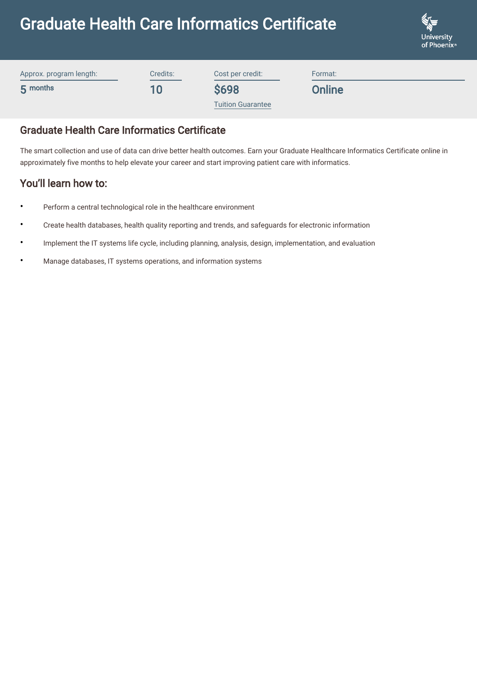# Graduate Health Care Informatics Certificate



| Approx. program length: | Credits: | Cost per credit:         | Format: |
|-------------------------|----------|--------------------------|---------|
| 5 months                | 10       | <b>\$698</b>             | Online  |
|                         |          | <b>Tuition Guarantee</b> |         |

# Graduate Health Care Informatics Certificate

The smart collection and use of data can drive better health outcomes. Earn your Graduate Healthcare Informatics Certificate online in approximately five months to help elevate your career and start improving patient care with informatics.

# You'll learn how to:

- Perform a central technological role in the healthcare environment
- Create health databases, health quality reporting and trends, and safeguards for electronic information
- Implement the IT systems life cycle, including planning, analysis, design, implementation, and evaluation
- Manage databases, IT systems operations, and information systems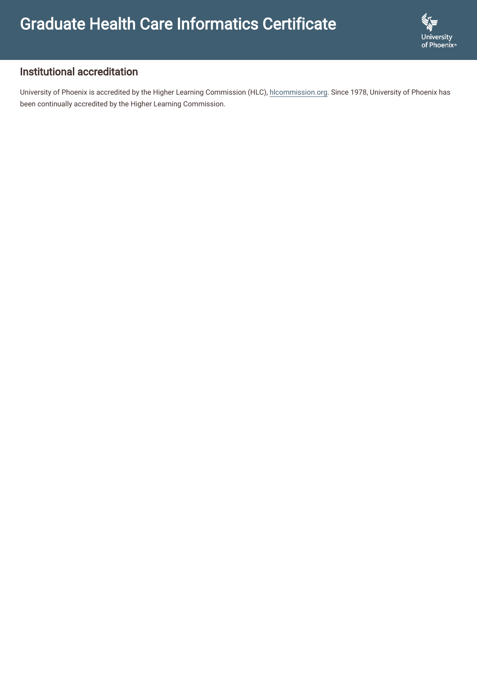

## Institutional accreditation

University of Phoenix is accredited by the Higher Learning Commission (HLC), [hlcommission.org](https://www.hlcommission.org/). Since 1978, University of Phoenix has been continually accredited by the Higher Learning Commission.